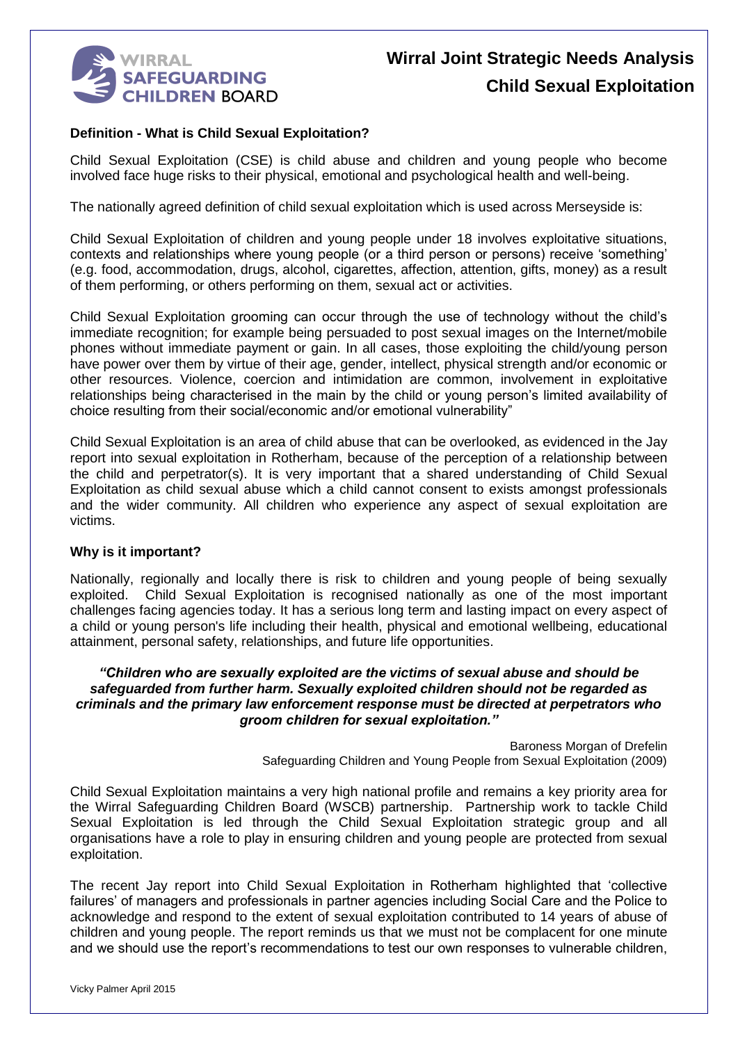

#### **Definition - What is Child Sexual Exploitation?**

Child Sexual Exploitation (CSE) is child abuse and children and young people who become involved face huge risks to their physical, emotional and psychological health and well-being.

The nationally agreed definition of child sexual exploitation which is used across Merseyside is:

Child Sexual Exploitation of children and young people under 18 involves exploitative situations, contexts and relationships where young people (or a third person or persons) receive 'something' (e.g. food, accommodation, drugs, alcohol, cigarettes, affection, attention, gifts, money) as a result of them performing, or others performing on them, sexual act or activities.

Child Sexual Exploitation grooming can occur through the use of technology without the child's immediate recognition; for example being persuaded to post sexual images on the Internet/mobile phones without immediate payment or gain. In all cases, those exploiting the child/young person have power over them by virtue of their age, gender, intellect, physical strength and/or economic or other resources. Violence, coercion and intimidation are common, involvement in exploitative relationships being characterised in the main by the child or young person's limited availability of choice resulting from their social/economic and/or emotional vulnerability"

Child Sexual Exploitation is an area of child abuse that can be overlooked, as evidenced in the Jay report into sexual exploitation in Rotherham, because of the perception of a relationship between the child and perpetrator(s). It is very important that a shared understanding of Child Sexual Exploitation as child sexual abuse which a child cannot consent to exists amongst professionals and the wider community. All children who experience any aspect of sexual exploitation are victims.

#### **Why is it important?**

Nationally, regionally and locally there is risk to children and young people of being sexually exploited. Child Sexual Exploitation is recognised nationally as one of the most important challenges facing agencies today. It has a serious long term and lasting impact on every aspect of a child or young person's life including their health, physical and emotional wellbeing, educational attainment, personal safety, relationships, and future life opportunities.

#### *"Children who are sexually exploited are the victims of sexual abuse and should be safeguarded from further harm. Sexually exploited children should not be regarded as criminals and the primary law enforcement response must be directed at perpetrators who groom children for sexual exploitation."*

Baroness Morgan of Drefelin Safeguarding Children and Young People from Sexual Exploitation (2009)

Child Sexual Exploitation maintains a very high national profile and remains a key priority area for the Wirral Safeguarding Children Board (WSCB) partnership. Partnership work to tackle Child Sexual Exploitation is led through the Child Sexual Exploitation strategic group and all organisations have a role to play in ensuring children and young people are protected from sexual exploitation.

The recent Jay report into Child Sexual Exploitation in Rotherham highlighted that 'collective failures' of managers and professionals in partner agencies including Social Care and the Police to acknowledge and respond to the extent of sexual exploitation contributed to 14 years of abuse of children and young people. The report reminds us that we must not be complacent for one minute and we should use the report's recommendations to test our own responses to vulnerable children,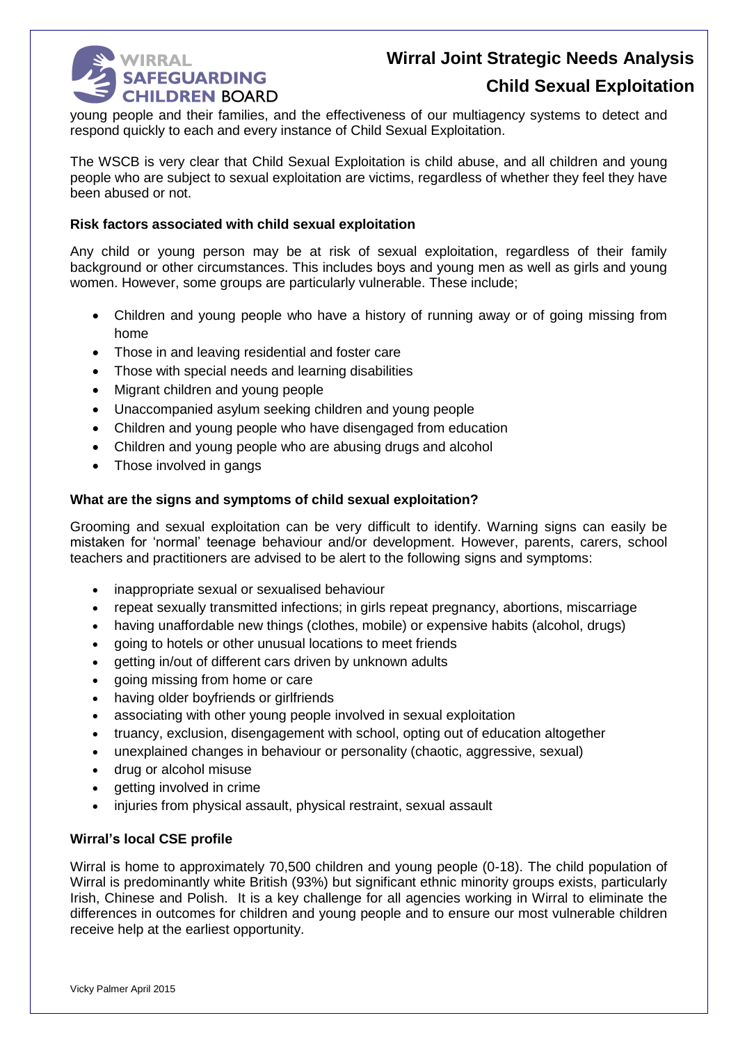

# **Wirral Joint Strategic Needs Analysis**

### **Child Sexual Exploitation**

young people and their families, and the effectiveness of our multiagency systems to detect and respond quickly to each and every instance of Child Sexual Exploitation.

The WSCB is very clear that Child Sexual Exploitation is child abuse, and all children and young people who are subject to sexual exploitation are victims, regardless of whether they feel they have been abused or not.

#### **Risk factors associated with child sexual exploitation**

Any child or young person may be at risk of sexual exploitation, regardless of their family background or other circumstances. This includes boys and young men as well as girls and young women. However, some groups are particularly vulnerable. These include;

- Children and young people who have a history of running away or of going missing from home
- Those in and leaving residential and foster care
- Those with special needs and learning disabilities
- Migrant children and young people
- Unaccompanied asylum seeking children and young people
- Children and young people who have disengaged from education
- Children and young people who are abusing drugs and alcohol
- Those involved in gangs

#### **What are the signs and symptoms of child sexual exploitation?**

Grooming and sexual exploitation can be very difficult to identify. Warning signs can easily be mistaken for 'normal' teenage behaviour and/or development. However, parents, carers, school teachers and practitioners are advised to be alert to the following signs and symptoms:

- inappropriate sexual or sexualised behaviour
- repeat sexually transmitted infections; in girls repeat pregnancy, abortions, miscarriage
- having unaffordable new things (clothes, mobile) or expensive habits (alcohol, drugs)
- going to hotels or other unusual locations to meet friends
- aetting in/out of different cars driven by unknown adults
- going missing from home or care
- having older boyfriends or girlfriends
- associating with other young people involved in sexual exploitation
- truancy, exclusion, disengagement with school, opting out of education altogether
- unexplained changes in behaviour or personality (chaotic, aggressive, sexual)
- drug or alcohol misuse
- getting involved in crime
- injuries from physical assault, physical restraint, sexual assault

#### **Wirral's local CSE profile**

Wirral is home to approximately 70,500 children and young people (0-18). The child population of Wirral is predominantly white British (93%) but significant ethnic minority groups exists, particularly Irish, Chinese and Polish. It is a key challenge for all agencies working in Wirral to eliminate the differences in outcomes for children and young people and to ensure our most vulnerable children receive help at the earliest opportunity.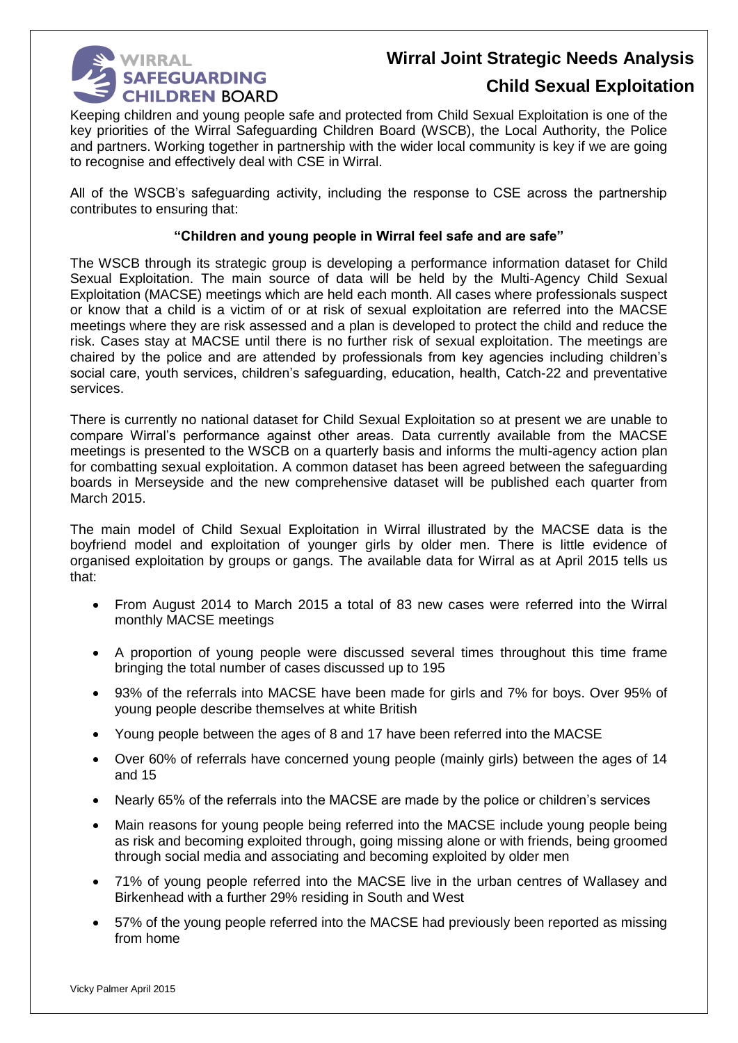

## **Wirral Joint Strategic Needs Analysis**

### **Child Sexual Exploitation**

Keeping children and young people safe and protected from Child Sexual Exploitation is one of the key priorities of the Wirral Safeguarding Children Board (WSCB), the Local Authority, the Police and partners. Working together in partnership with the wider local community is key if we are going to recognise and effectively deal with CSE in Wirral.

All of the WSCB's safeguarding activity, including the response to CSE across the partnership contributes to ensuring that:

#### **"Children and young people in Wirral feel safe and are safe"**

The WSCB through its strategic group is developing a performance information dataset for Child Sexual Exploitation. The main source of data will be held by the Multi-Agency Child Sexual Exploitation (MACSE) meetings which are held each month. All cases where professionals suspect or know that a child is a victim of or at risk of sexual exploitation are referred into the MACSE meetings where they are risk assessed and a plan is developed to protect the child and reduce the risk. Cases stay at MACSE until there is no further risk of sexual exploitation. The meetings are chaired by the police and are attended by professionals from key agencies including children's social care, youth services, children's safeguarding, education, health, Catch-22 and preventative services.

There is currently no national dataset for Child Sexual Exploitation so at present we are unable to compare Wirral's performance against other areas. Data currently available from the MACSE meetings is presented to the WSCB on a quarterly basis and informs the multi-agency action plan for combatting sexual exploitation. A common dataset has been agreed between the safeguarding boards in Merseyside and the new comprehensive dataset will be published each quarter from March 2015.

The main model of Child Sexual Exploitation in Wirral illustrated by the MACSE data is the boyfriend model and exploitation of younger girls by older men. There is little evidence of organised exploitation by groups or gangs. The available data for Wirral as at April 2015 tells us that:

- From August 2014 to March 2015 a total of 83 new cases were referred into the Wirral monthly MACSE meetings
- A proportion of young people were discussed several times throughout this time frame bringing the total number of cases discussed up to 195
- 93% of the referrals into MACSE have been made for girls and 7% for boys. Over 95% of young people describe themselves at white British
- Young people between the ages of 8 and 17 have been referred into the MACSE
- Over 60% of referrals have concerned young people (mainly girls) between the ages of 14 and 15
- Nearly 65% of the referrals into the MACSE are made by the police or children's services
- Main reasons for young people being referred into the MACSE include young people being as risk and becoming exploited through, going missing alone or with friends, being groomed through social media and associating and becoming exploited by older men
- 71% of young people referred into the MACSE live in the urban centres of Wallasey and Birkenhead with a further 29% residing in South and West
- 57% of the young people referred into the MACSE had previously been reported as missing from home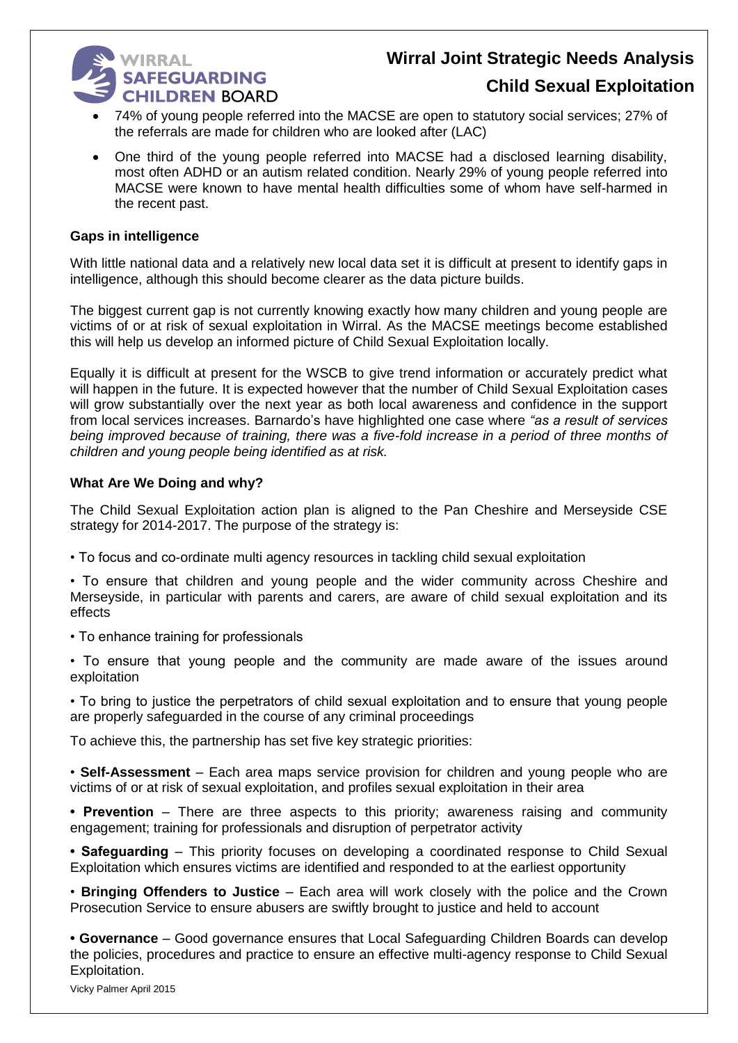## **WIRRAL SAFEGUARDING CHILDREN BOARD**

# **Wirral Joint Strategic Needs Analysis**

### **Child Sexual Exploitation**

- 74% of young people referred into the MACSE are open to statutory social services; 27% of the referrals are made for children who are looked after (LAC)
- One third of the young people referred into MACSE had a disclosed learning disability, most often ADHD or an autism related condition. Nearly 29% of young people referred into MACSE were known to have mental health difficulties some of whom have self-harmed in the recent past.

#### **Gaps in intelligence**

With little national data and a relatively new local data set it is difficult at present to identify gaps in intelligence, although this should become clearer as the data picture builds.

The biggest current gap is not currently knowing exactly how many children and young people are victims of or at risk of sexual exploitation in Wirral. As the MACSE meetings become established this will help us develop an informed picture of Child Sexual Exploitation locally.

Equally it is difficult at present for the WSCB to give trend information or accurately predict what will happen in the future. It is expected however that the number of Child Sexual Exploitation cases will grow substantially over the next year as both local awareness and confidence in the support from local services increases. Barnardo's have highlighted one case where *"as a result of services being improved because of training, there was a five-fold increase in a period of three months of children and young people being identified as at risk.*

#### **What Are We Doing and why?**

The Child Sexual Exploitation action plan is aligned to the Pan Cheshire and Merseyside CSE strategy for 2014-2017. The purpose of the strategy is:

• To focus and co-ordinate multi agency resources in tackling child sexual exploitation

• To ensure that children and young people and the wider community across Cheshire and Merseyside, in particular with parents and carers, are aware of child sexual exploitation and its effects

- To enhance training for professionals
- To ensure that young people and the community are made aware of the issues around exploitation

• To bring to justice the perpetrators of child sexual exploitation and to ensure that young people are properly safeguarded in the course of any criminal proceedings

To achieve this, the partnership has set five key strategic priorities:

• **Self-Assessment** – Each area maps service provision for children and young people who are victims of or at risk of sexual exploitation, and profiles sexual exploitation in their area

**• Prevention** – There are three aspects to this priority; awareness raising and community engagement; training for professionals and disruption of perpetrator activity

**• Safeguarding** – This priority focuses on developing a coordinated response to Child Sexual Exploitation which ensures victims are identified and responded to at the earliest opportunity

• **Bringing Offenders to Justice** – Each area will work closely with the police and the Crown Prosecution Service to ensure abusers are swiftly brought to justice and held to account

**• Governance** – Good governance ensures that Local Safeguarding Children Boards can develop the policies, procedures and practice to ensure an effective multi-agency response to Child Sexual Exploitation.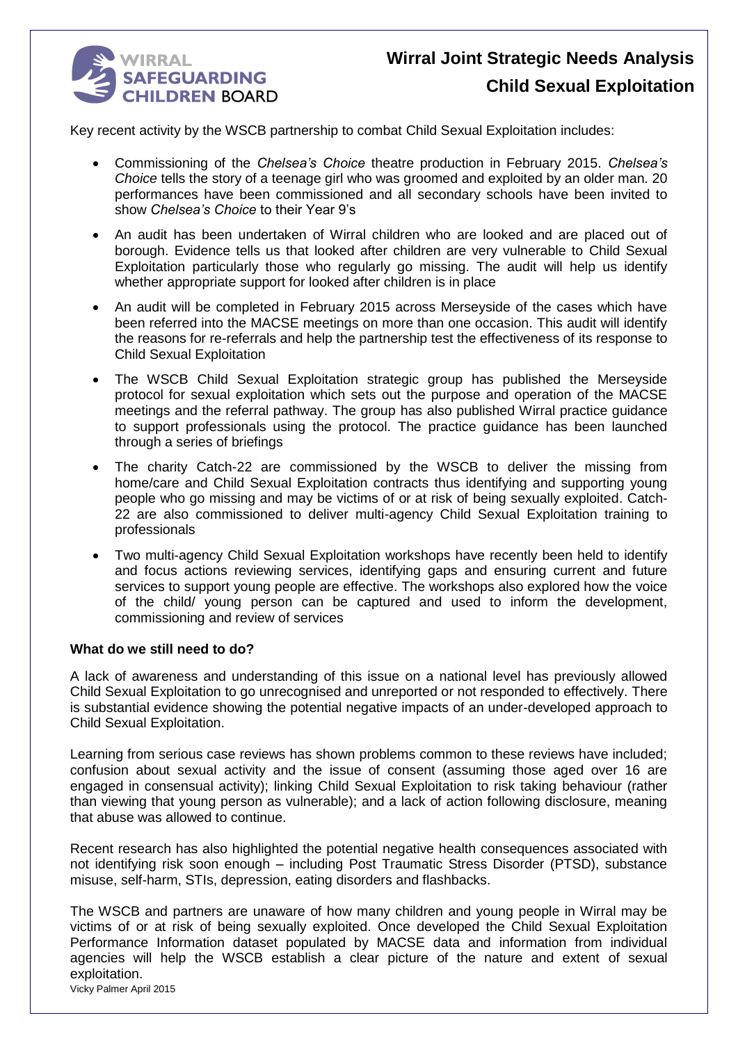

Key recent activity by the WSCB partnership to combat Child Sexual Exploitation includes:

- Commissioning of the *Chelsea's Choice* theatre production in February 2015. *Chelsea's Choice* tells the story of a teenage girl who was groomed and exploited by an older man. 20 performances have been commissioned and all secondary schools have been invited to show *Chelsea's Choice* to their Year 9's
- An audit has been undertaken of Wirral children who are looked and are placed out of borough. Evidence tells us that looked after children are very vulnerable to Child Sexual Exploitation particularly those who regularly go missing. The audit will help us identify whether appropriate support for looked after children is in place
- An audit will be completed in February 2015 across Merseyside of the cases which have been referred into the MACSE meetings on more than one occasion. This audit will identify the reasons for re-referrals and help the partnership test the effectiveness of its response to Child Sexual Exploitation
- The WSCB Child Sexual Exploitation strategic group has published the Merseyside protocol for sexual exploitation which sets out the purpose and operation of the MACSE meetings and the referral pathway. The group has also published Wirral practice guidance to support professionals using the protocol. The practice guidance has been launched through a series of briefings
- The charity Catch-22 are commissioned by the WSCB to deliver the missing from home/care and Child Sexual Exploitation contracts thus identifying and supporting young people who go missing and may be victims of or at risk of being sexually exploited. Catch-22 are also commissioned to deliver multi-agency Child Sexual Exploitation training to professionals
- Two multi-agency Child Sexual Exploitation workshops have recently been held to identify and focus actions reviewing services, identifying gaps and ensuring current and future services to support young people are effective. The workshops also explored how the voice of the child/ young person can be captured and used to inform the development, commissioning and review of services

#### **What do we still need to do?**

A lack of awareness and understanding of this issue on a national level has previously allowed Child Sexual Exploitation to go unrecognised and unreported or not responded to effectively. There is substantial evidence showing the potential negative impacts of an under-developed approach to Child Sexual Exploitation.

Learning from serious case reviews has shown problems common to these reviews have included; confusion about sexual activity and the issue of consent (assuming those aged over 16 are engaged in consensual activity); linking Child Sexual Exploitation to risk taking behaviour (rather than viewing that young person as vulnerable); and a lack of action following disclosure, meaning that abuse was allowed to continue.

Recent research has also highlighted the potential negative health consequences associated with not identifying risk soon enough – including Post Traumatic Stress Disorder (PTSD), substance misuse, self-harm, STIs, depression, eating disorders and flashbacks.

The WSCB and partners are unaware of how many children and young people in Wirral may be victims of or at risk of being sexually exploited. Once developed the Child Sexual Exploitation Performance Information dataset populated by MACSE data and information from individual agencies will help the WSCB establish a clear picture of the nature and extent of sexual exploitation.

Vicky Palmer April 2015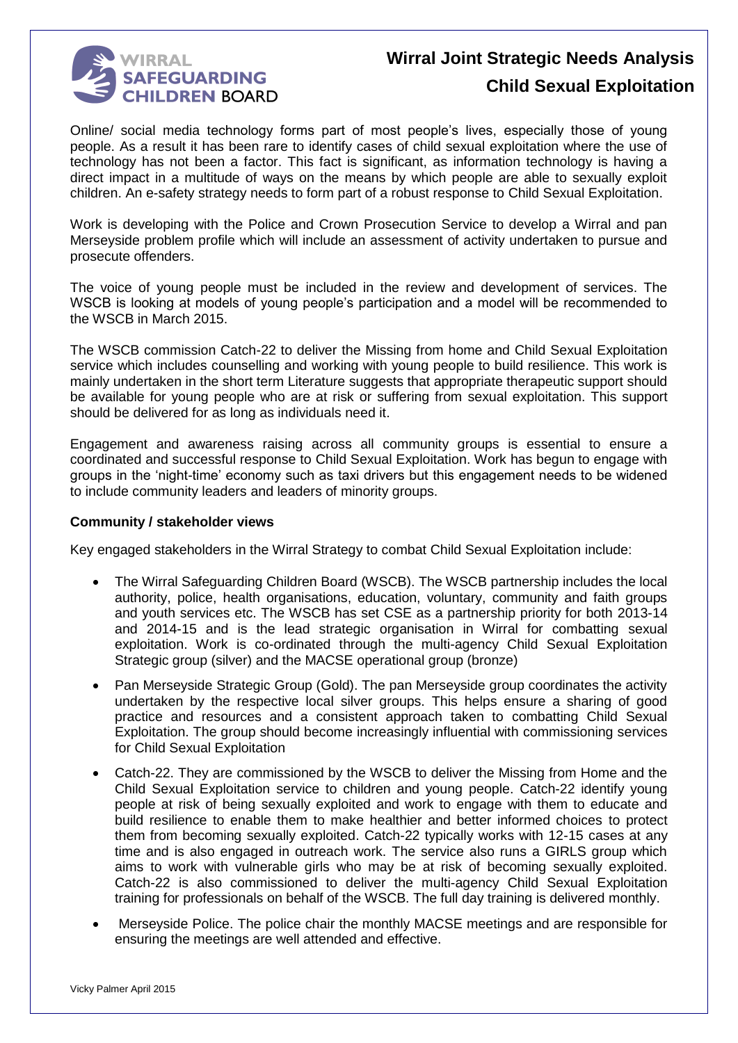

Online/ social media technology forms part of most people's lives, especially those of young people. As a result it has been rare to identify cases of child sexual exploitation where the use of technology has not been a factor. This fact is significant, as information technology is having a direct impact in a multitude of ways on the means by which people are able to sexually exploit children. An e-safety strategy needs to form part of a robust response to Child Sexual Exploitation.

Work is developing with the Police and Crown Prosecution Service to develop a Wirral and pan Merseyside problem profile which will include an assessment of activity undertaken to pursue and prosecute offenders.

The voice of young people must be included in the review and development of services. The WSCB is looking at models of young people's participation and a model will be recommended to the WSCB in March 2015.

The WSCB commission Catch-22 to deliver the Missing from home and Child Sexual Exploitation service which includes counselling and working with young people to build resilience. This work is mainly undertaken in the short term Literature suggests that appropriate therapeutic support should be available for young people who are at risk or suffering from sexual exploitation. This support should be delivered for as long as individuals need it.

Engagement and awareness raising across all community groups is essential to ensure a coordinated and successful response to Child Sexual Exploitation. Work has begun to engage with groups in the 'night-time' economy such as taxi drivers but this engagement needs to be widened to include community leaders and leaders of minority groups.

#### **Community / stakeholder views**

Key engaged stakeholders in the Wirral Strategy to combat Child Sexual Exploitation include:

- The Wirral Safeguarding Children Board (WSCB). The WSCB partnership includes the local authority, police, health organisations, education, voluntary, community and faith groups and youth services etc. The WSCB has set CSE as a partnership priority for both 2013-14 and 2014-15 and is the lead strategic organisation in Wirral for combatting sexual exploitation. Work is co-ordinated through the multi-agency Child Sexual Exploitation Strategic group (silver) and the MACSE operational group (bronze)
- Pan Merseyside Strategic Group (Gold). The pan Merseyside group coordinates the activity undertaken by the respective local silver groups. This helps ensure a sharing of good practice and resources and a consistent approach taken to combatting Child Sexual Exploitation. The group should become increasingly influential with commissioning services for Child Sexual Exploitation
- Catch-22. They are commissioned by the WSCB to deliver the Missing from Home and the Child Sexual Exploitation service to children and young people. Catch-22 identify young people at risk of being sexually exploited and work to engage with them to educate and build resilience to enable them to make healthier and better informed choices to protect them from becoming sexually exploited. Catch-22 typically works with 12-15 cases at any time and is also engaged in outreach work. The service also runs a GIRLS group which aims to work with vulnerable girls who may be at risk of becoming sexually exploited. Catch-22 is also commissioned to deliver the multi-agency Child Sexual Exploitation training for professionals on behalf of the WSCB. The full day training is delivered monthly.
- Merseyside Police. The police chair the monthly MACSE meetings and are responsible for ensuring the meetings are well attended and effective.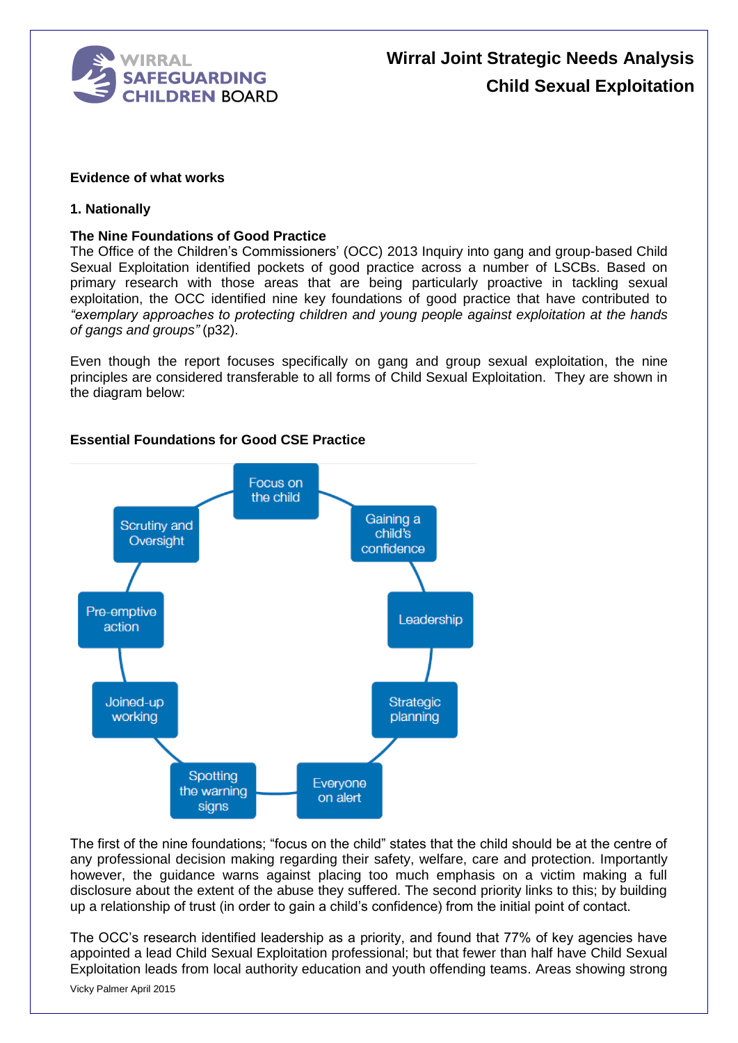

#### **Evidence of what works**

#### **1. Nationally**

#### **The Nine Foundations of Good Practice**

The Office of the Children's Commissioners' (OCC) 2013 Inquiry into gang and group-based Child Sexual Exploitation identified pockets of good practice across a number of LSCBs. Based on primary research with those areas that are being particularly proactive in tackling sexual exploitation, the OCC identified nine key foundations of good practice that have contributed to *"exemplary approaches to protecting children and young people against exploitation at the hands of gangs and groups"* (p32).

Even though the report focuses specifically on gang and group sexual exploitation, the nine principles are considered transferable to all forms of Child Sexual Exploitation. They are shown in the diagram below:



#### **Essential Foundations for Good CSE Practice**

The first of the nine foundations; "focus on the child" states that the child should be at the centre of any professional decision making regarding their safety, welfare, care and protection. Importantly however, the guidance warns against placing too much emphasis on a victim making a full disclosure about the extent of the abuse they suffered. The second priority links to this; by building up a relationship of trust (in order to gain a child's confidence) from the initial point of contact.

The OCC's research identified leadership as a priority, and found that 77% of key agencies have appointed a lead Child Sexual Exploitation professional; but that fewer than half have Child Sexual Exploitation leads from local authority education and youth offending teams. Areas showing strong

Vicky Palmer April 2015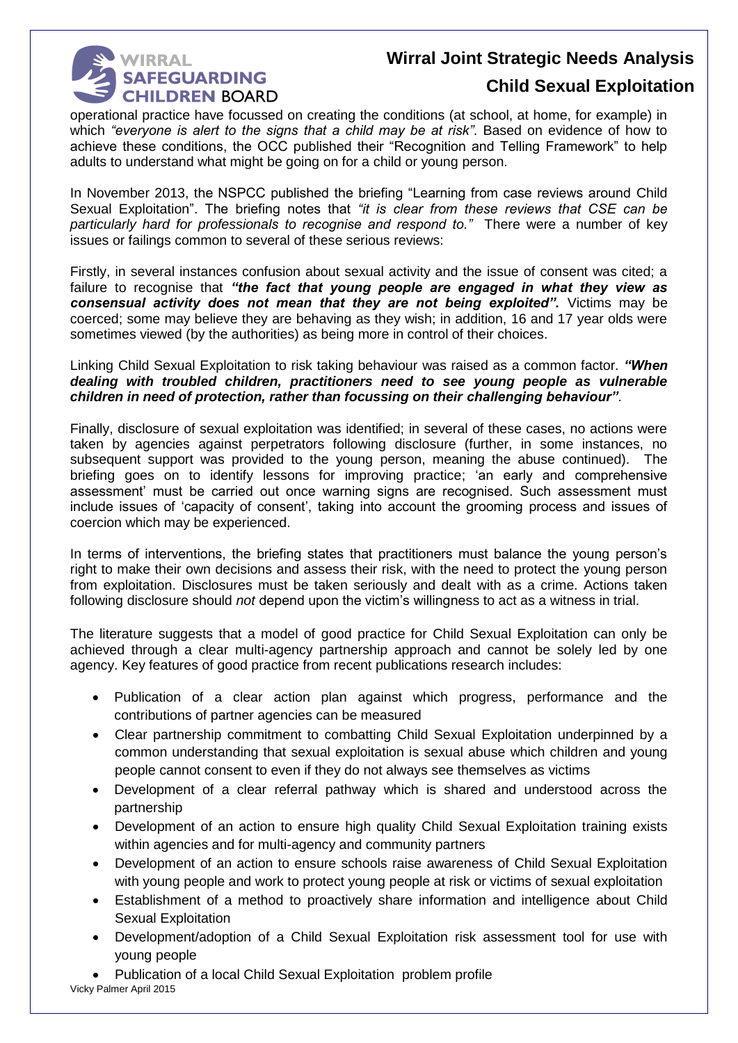

## **Wirral Joint Strategic Needs Analysis**

### **Child Sexual Exploitation**

operational practice have focussed on creating the conditions (at school, at home, for example) in which *"everyone is alert to the signs that a child may be at risk"*. Based on evidence of how to achieve these conditions, the OCC published their "Recognition and Telling Framework" to help adults to understand what might be going on for a child or young person.

In November 2013, the NSPCC published the briefing "Learning from case reviews around Child Sexual Exploitation". The briefing notes that *"it is clear from these reviews that CSE can be particularly hard for professionals to recognise and respond to."* There were a number of key issues or failings common to several of these serious reviews:

Firstly, in several instances confusion about sexual activity and the issue of consent was cited; a failure to recognise that *"the fact that young people are engaged in what they view as consensual activity does not mean that they are not being exploited".* Victims may be coerced; some may believe they are behaving as they wish; in addition, 16 and 17 year olds were sometimes viewed (by the authorities) as being more in control of their choices.

Linking Child Sexual Exploitation to risk taking behaviour was raised as a common factor. *"When dealing with troubled children, practitioners need to see young people as vulnerable children in need of protection, rather than focussing on their challenging behaviour"*.

Finally, disclosure of sexual exploitation was identified; in several of these cases, no actions were taken by agencies against perpetrators following disclosure (further, in some instances, no subsequent support was provided to the young person, meaning the abuse continued). The briefing goes on to identify lessons for improving practice; 'an early and comprehensive assessment' must be carried out once warning signs are recognised. Such assessment must include issues of 'capacity of consent', taking into account the grooming process and issues of coercion which may be experienced.

In terms of interventions, the briefing states that practitioners must balance the young person's right to make their own decisions and assess their risk, with the need to protect the young person from exploitation. Disclosures must be taken seriously and dealt with as a crime. Actions taken following disclosure should *not* depend upon the victim's willingness to act as a witness in trial.

The literature suggests that a model of good practice for Child Sexual Exploitation can only be achieved through a clear multi-agency partnership approach and cannot be solely led by one agency. Key features of good practice from recent publications research includes:

- Publication of a clear action plan against which progress, performance and the contributions of partner agencies can be measured
- Clear partnership commitment to combatting Child Sexual Exploitation underpinned by a common understanding that sexual exploitation is sexual abuse which children and young people cannot consent to even if they do not always see themselves as victims
- Development of a clear referral pathway which is shared and understood across the partnership
- Development of an action to ensure high quality Child Sexual Exploitation training exists within agencies and for multi-agency and community partners
- Development of an action to ensure schools raise awareness of Child Sexual Exploitation with young people and work to protect young people at risk or victims of sexual exploitation
- Establishment of a method to proactively share information and intelligence about Child Sexual Exploitation
- Development/adoption of a Child Sexual Exploitation risk assessment tool for use with young people
- Vicky Palmer April 2015 Publication of a local Child Sexual Exploitation problem profile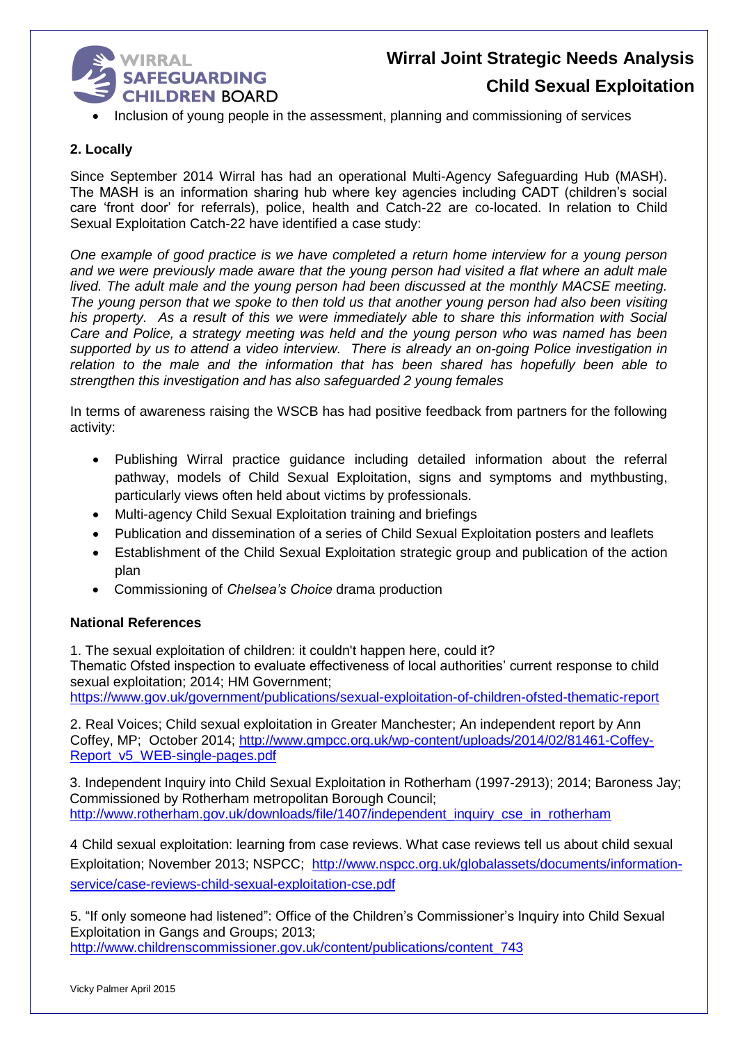

• Inclusion of young people in the assessment, planning and commissioning of services

#### **2. Locally**

Since September 2014 Wirral has had an operational Multi-Agency Safeguarding Hub (MASH). The MASH is an information sharing hub where key agencies including CADT (children's social care 'front door' for referrals), police, health and Catch-22 are co-located. In relation to Child Sexual Exploitation Catch-22 have identified a case study:

*One example of good practice is we have completed a return home interview for a young person and we were previously made aware that the young person had visited a flat where an adult male lived. The adult male and the young person had been discussed at the monthly MACSE meeting. The young person that we spoke to then told us that another young person had also been visiting his property. As a result of this we were immediately able to share this information with Social Care and Police, a strategy meeting was held and the young person who was named has been supported by us to attend a video interview. There is already an on-going Police investigation in relation to the male and the information that has been shared has hopefully been able to strengthen this investigation and has also safeguarded 2 young females*

In terms of awareness raising the WSCB has had positive feedback from partners for the following activity:

- Publishing Wirral practice guidance including detailed information about the referral pathway, models of Child Sexual Exploitation, signs and symptoms and mythbusting, particularly views often held about victims by professionals.
- Multi-agency Child Sexual Exploitation training and briefings
- Publication and dissemination of a series of Child Sexual Exploitation posters and leaflets
- Establishment of the Child Sexual Exploitation strategic group and publication of the action plan
- Commissioning of *Chelsea's Choice* drama production

#### **National References**

1. The sexual exploitation of children: it couldn't happen here, could it?

Thematic Ofsted inspection to evaluate effectiveness of local authorities' current response to child sexual exploitation; 2014; HM Government;

<https://www.gov.uk/government/publications/sexual-exploitation-of-children-ofsted-thematic-report>

2. Real Voices; Child sexual exploitation in Greater Manchester; An independent report by Ann Coffey, MP; October 2014; [http://www.gmpcc.org.uk/wp-content/uploads/2014/02/81461-Coffey-](http://www.gmpcc.org.uk/wp-content/uploads/2014/02/81461-Coffey-Report_v5_WEB-single-pages.pdf)[Report\\_v5\\_WEB-single-pages.pdf](http://www.gmpcc.org.uk/wp-content/uploads/2014/02/81461-Coffey-Report_v5_WEB-single-pages.pdf)

3. Independent Inquiry into Child Sexual Exploitation in Rotherham (1997-2913); 2014; Baroness Jay; Commissioned by Rotherham metropolitan Borough Council; [http://www.rotherham.gov.uk/downloads/file/1407/independent\\_inquiry\\_cse\\_in\\_rotherham](http://www.rotherham.gov.uk/downloads/file/1407/independent_inquiry_cse_in_rotherham)

4 Child sexual exploitation: learning from case reviews. What case reviews tell us about child sexual Exploitation; November 2013; NSPCC; [http://www.nspcc.org.uk/globalassets/documents/information](http://www.nspcc.org.uk/globalassets/documents/information-service/case-reviews-child-sexual-exploitation-cse.pdf)[service/case-reviews-child-sexual-exploitation-cse.pdf](http://www.nspcc.org.uk/globalassets/documents/information-service/case-reviews-child-sexual-exploitation-cse.pdf)

5. "If only someone had listened": Office of the Children's Commissioner's Inquiry into Child Sexual Exploitation in Gangs and Groups; 2013; [http://www.childrenscommissioner.gov.uk/content/publications/content\\_743](http://www.childrenscommissioner.gov.uk/content/publications/content_743)